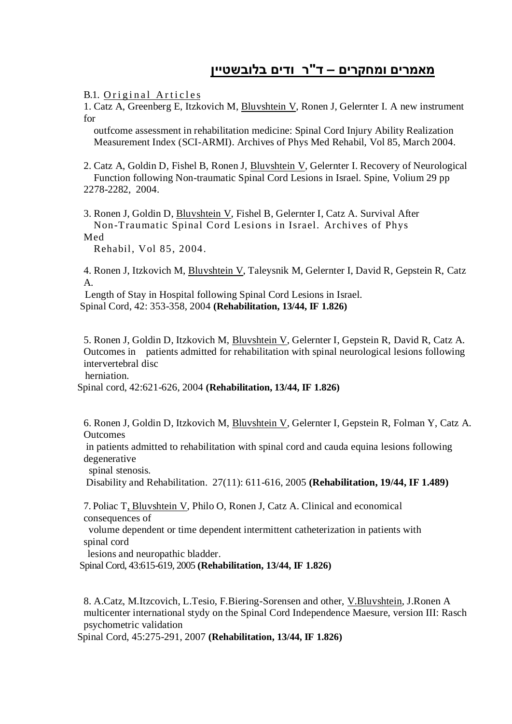## **מאמרים ומחקרים – ד"ר ודים בלובשטיין**

B.1. Original Articles

1. Catz A, Greenberg E, Itzkovich M, Bluvshtein V, Ronen J, Gelernter I. A new instrument for

 outfcome assessment in rehabilitation medicine: Spinal Cord Injury Ability Realization Measurement Index (SCI-ARMI). Archives of Phys Med Rehabil, Vol 85, March 2004.

2. Catz A, Goldin D, Fishel B, Ronen J, Bluvshtein V, Gelernter I. Recovery of Neurological Function following Non-traumatic Spinal Cord Lesions in Israel. Spine, Volium 29 pp 2278-2282, 2004.

3. Ronen J, Goldin D, Bluvshtein V, Fishel B, Gelernter I, Catz A. Survival After Non-Traumatic Spinal Cord Lesions in Israel. Archives of Phys Med

Rehabil, Vol 85, 2004.

4. Ronen J, Itzkovich M, Bluvshtein V, Taleysnik M, Gelernter I, David R, Gepstein R, Catz A.

 Length of Stay in Hospital following Spinal Cord Lesions in Israel. Spinal Cord, 42: 353-358, 2004 **(Rehabilitation, 13/44, IF 1.826)**

5. Ronen J, Goldin D, Itzkovich M, Bluvshtein V, Gelernter I, Gepstein R, David R, Catz A. Outcomes in patients admitted for rehabilitation with spinal neurological lesions following intervertebral disc

herniation.

Spinal cord, 42:621-626, 2004 **(Rehabilitation, 13/44, IF 1.826)**

6. Ronen J, Goldin D, Itzkovich M, Bluvshtein V, Gelernter I, Gepstein R, Folman Y, Catz A. **Outcomes** 

in patients admitted to rehabilitation with spinal cord and cauda equina lesions following degenerative

spinal stenosis.

Disability and Rehabilitation. 27(11): 611-616, 2005 **(Rehabilitation, 19/44, IF 1.489)**

7. Poliac T, Bluvshtein V, Philo O, Ronen J, Catz A. Clinical and economical consequences of

 volume dependent or time dependent intermittent catheterization in patients with spinal cord

lesions and neuropathic bladder.

Spinal Cord, 43:615-619, 2005 **(Rehabilitation, 13/44, IF 1.826)**

8. A.Catz, M.Itzcovich, L.Tesio, F.Biering-Sorensen and other, V.Bluvshtein, J.Ronen A multicenter international stydy on the Spinal Cord Independence Maesure, version III: Rasch psychometric validation

Spinal Cord, 45:275-291, 2007 **(Rehabilitation, 13/44, IF 1.826)**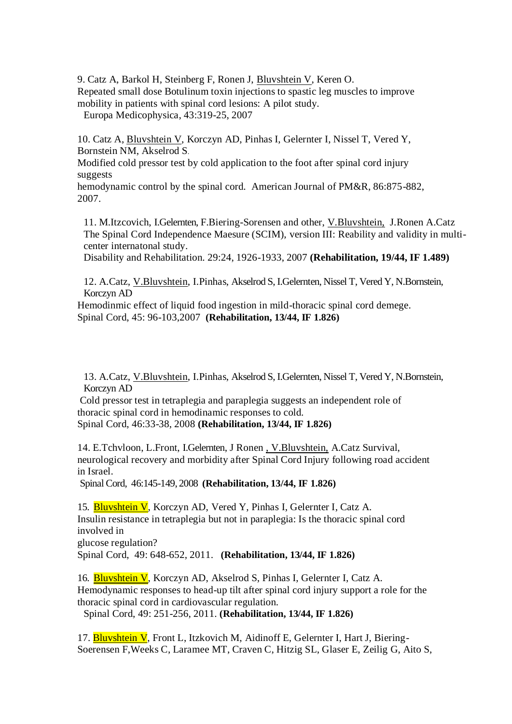9. Catz A, Barkol H, Steinberg F, Ronen J, Bluvshtein V, Keren O. Repeated small dose Botulinum toxin injections to spastic leg muscles to improve mobility in patients with spinal cord lesions: A pilot study. Europa Medicophysica, 43:319-25, 2007

10. Catz A, Bluvshtein V, Korczyn AD, Pinhas I, Gelernter I, Nissel T, Vered Y, Bornstein NM, Akselrod S.

Modified cold pressor test by cold application to the foot after spinal cord injury suggests

hemodynamic control by the spinal cord. American Journal of PM&R, 86:875-882, 2007.

11. M.Itzcovich, I.Gelernten, F.Biering-Sorensen and other, V.Bluvshtein, J.Ronen A.Catz The Spinal Cord Independence Maesure (SCIM), version III: Reability and validity in multicenter internatonal study.

Disability and Rehabilitation. 29:24, 1926-1933, 2007 **(Rehabilitation, 19/44, IF 1.489)**

12. A.Catz, V.Bluvshtein, I.Pinhas, Akselrod S, I.Gelernten, Nissel T, Vered Y, N.Bornstein, Korczyn AD

Hemodinmic effect of liquid food ingestion in mild-thoracic spinal cord demege. Spinal Cord, 45: 96-103,2007 **(Rehabilitation, 13/44, IF 1.826)**

13. A.Catz, V.Bluvshtein, I.Pinhas, Akselrod S, I.Gelernten, Nissel T, Vered Y, N.Bornstein, Korczyn AD

Cold pressor test in tetraplegia and paraplegia suggests an independent role of thoracic spinal cord in hemodinamic responses to cold. Spinal Cord, 46:33-38, 2008 **(Rehabilitation, 13/44, IF 1.826)**

14. E.Tchvloon, L.Front, I.Gelernten, J Ronen , V.Bluvshtein, A.Catz Survival, neurological recovery and morbidity after Spinal Cord Injury following road accident in Israel.

Spinal Cord, 46:145-149, 2008 **(Rehabilitation, 13/44, IF 1.826)**

15. Bluvshtein V, Korczyn AD, Vered Y, Pinhas I, Gelernter I, Catz A. Insulin resistance in tetraplegia but not in paraplegia: Is the thoracic spinal cord involved in glucose regulation?

Spinal Cord, 49: 648-652, 2011. **(Rehabilitation, 13/44, IF 1.826)**

16. Bluvshtein V, Korczyn AD, Akselrod S, Pinhas I, Gelernter I, Catz A. Hemodynamic responses to head-up tilt after spinal cord injury support a role for the thoracic spinal cord in cardiovascular regulation.

Spinal Cord, 49: 251-256, 2011. **(Rehabilitation, 13/44, IF 1.826)**

17. Bluvshtein V, Front L, Itzkovich M, Aidinoff E, Gelernter I, Hart J, Biering-Soerensen F,Weeks C, Laramee MT, Craven C, Hitzig SL, Glaser E, Zeilig G, Aito S,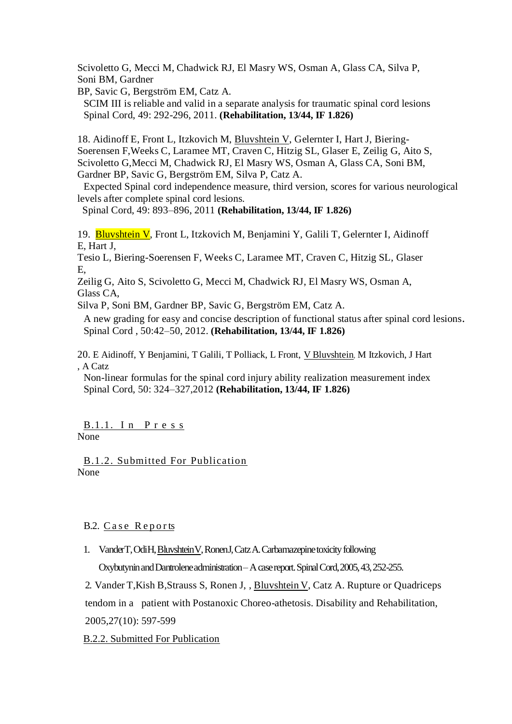Scivoletto G, Mecci M, Chadwick RJ, El Masry WS, Osman A, Glass CA, Silva P, Soni BM, Gardner

BP, Savic G, Bergström EM, Catz A.

SCIM III is reliable and valid in a separate analysis for traumatic spinal cord lesions Spinal Cord, 49: 292-296, 2011. **(Rehabilitation, 13/44, IF 1.826)**

18. Aidinoff E, Front L, Itzkovich M, Bluvshtein V, Gelernter I, Hart J, Biering-Soerensen F,Weeks C, Laramee MT, Craven C, Hitzig SL, Glaser E, Zeilig G, Aito S, Scivoletto G,Mecci M, Chadwick RJ, El Masry WS, Osman A, Glass CA, Soni BM, Gardner BP, Savic G, Bergström EM, Silva P, Catz A.

Expected Spinal cord independence measure, third version, scores for various neurological levels after complete spinal cord lesions.

Spinal Cord, 49: 893–896, 2011 **(Rehabilitation, 13/44, IF 1.826)**

19. Bluvshtein V, Front L, Itzkovich M, Benjamini Y, Galili T, Gelernter I, Aidinoff E, Hart J,

Tesio L, Biering-Soerensen F, Weeks C, Laramee MT, Craven C, Hitzig SL, Glaser E,

Zeilig G, Aito S, Scivoletto G, Mecci M, Chadwick RJ, El Masry WS, Osman A, Glass CA,

Silva P, Soni BM, Gardner BP, Savic G, Bergström EM, Catz A.

A new grading for easy and concise description of functional status after spinal cord lesions. Spinal Cord , 50:42–50, 2012. **(Rehabilitation, 13/44, IF 1.826)**

20. E Aidinoff, Y Benjamini, T Galili, T Polliack, L Front, V Bluvshtein, M Itzkovich, J Hart , A Catz

Non-linear formulas for the spinal cord injury ability realization measurement index Spinal Cord, 50: 324–327,2012 **(Rehabilitation, 13/44, IF 1.826)**

B.1.1. In Press None

B.1.2. Submitted For Publication None

## B.2. Case Reports

1. VanderT, OdiH, BluvshteinV, RonenJ, Catz A. Carbamazepine toxicity following Oxybutynin and Dantrolene administration –A case report. Spinal Cord, 2005, 43, 252-255.

2. Vander T,Kish B,Strauss S, Ronen J, , Bluvshtein V, Catz A. Rupture or Quadriceps tendom in a patient with Postanoxic Choreo-athetosis. Disability and Rehabilitation,

2005,27(10): 597-599

B.2.2. Submitted For Publication